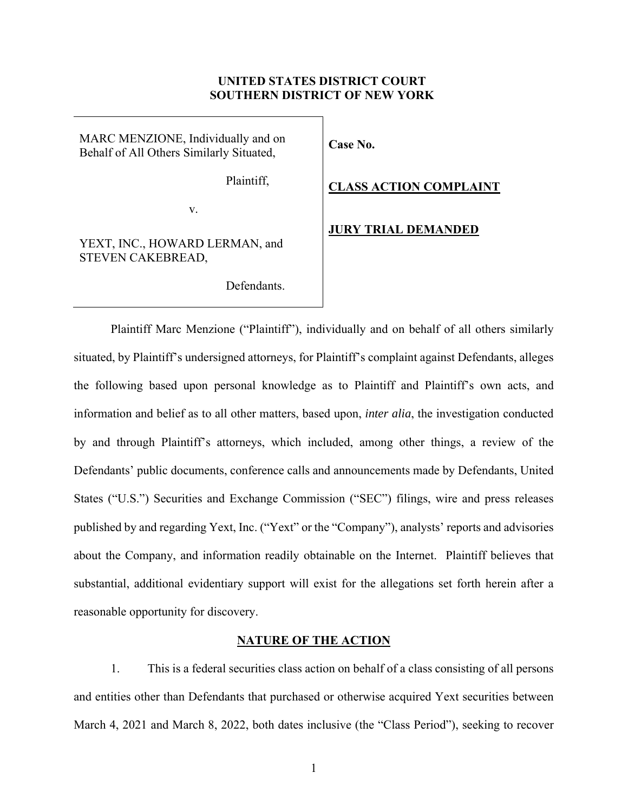## **UNITED STATES DISTRICT COURT SOUTHERN DISTRICT OF NEW YORK**

# MARC MENZIONE, Individually and on Behalf of All Others Similarly Situated,

Plaintiff,

v.

# YEXT, INC., HOWARD LERMAN, and STEVEN CAKEBREAD,

Defendants.

# **Case No.**

## **CLASS ACTION COMPLAINT**

### **JURY TRIAL DEMANDED**

Plaintiff Marc Menzione ("Plaintiff"), individually and on behalf of all others similarly situated, by Plaintiff's undersigned attorneys, for Plaintiff's complaint against Defendants, alleges the following based upon personal knowledge as to Plaintiff and Plaintiff's own acts, and information and belief as to all other matters, based upon, *inter alia*, the investigation conducted by and through Plaintiff's attorneys, which included, among other things, a review of the Defendants' public documents, conference calls and announcements made by Defendants, United States ("U.S.") Securities and Exchange Commission ("SEC") filings, wire and press releases published by and regarding Yext, Inc. ("Yext" or the "Company"), analysts' reports and advisories about the Company, and information readily obtainable on the Internet. Plaintiff believes that substantial, additional evidentiary support will exist for the allegations set forth herein after a reasonable opportunity for discovery.

## **NATURE OF THE ACTION**

1. This is a federal securities class action on behalf of a class consisting of all persons and entities other than Defendants that purchased or otherwise acquired Yext securities between March 4, 2021 and March 8, 2022, both dates inclusive (the "Class Period"), seeking to recover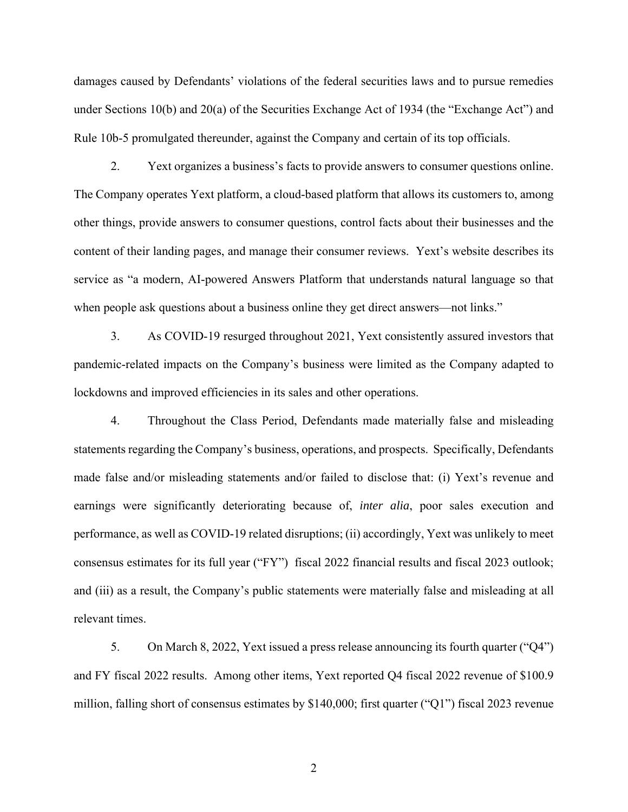damages caused by Defendants' violations of the federal securities laws and to pursue remedies under Sections 10(b) and 20(a) of the Securities Exchange Act of 1934 (the "Exchange Act") and Rule 10b-5 promulgated thereunder, against the Company and certain of its top officials.

2. Yext organizes a business's facts to provide answers to consumer questions online. The Company operates Yext platform, a cloud-based platform that allows its customers to, among other things, provide answers to consumer questions, control facts about their businesses and the content of their landing pages, and manage their consumer reviews. Yext's website describes its service as "a modern, AI-powered Answers Platform that understands natural language so that when people ask questions about a business online they get direct answers—not links."

3. As COVID-19 resurged throughout 2021, Yext consistently assured investors that pandemic-related impacts on the Company's business were limited as the Company adapted to lockdowns and improved efficiencies in its sales and other operations.

4. Throughout the Class Period, Defendants made materially false and misleading statements regarding the Company's business, operations, and prospects. Specifically, Defendants made false and/or misleading statements and/or failed to disclose that: (i) Yext's revenue and earnings were significantly deteriorating because of, *inter alia*, poor sales execution and performance, as well as COVID-19 related disruptions; (ii) accordingly, Yext was unlikely to meet consensus estimates for its full year ("FY") fiscal 2022 financial results and fiscal 2023 outlook; and (iii) as a result, the Company's public statements were materially false and misleading at all relevant times.

5. On March 8, 2022, Yext issued a press release announcing its fourth quarter ("Q4") and FY fiscal 2022 results. Among other items, Yext reported Q4 fiscal 2022 revenue of \$100.9 million, falling short of consensus estimates by \$140,000; first quarter ("Q1") fiscal 2023 revenue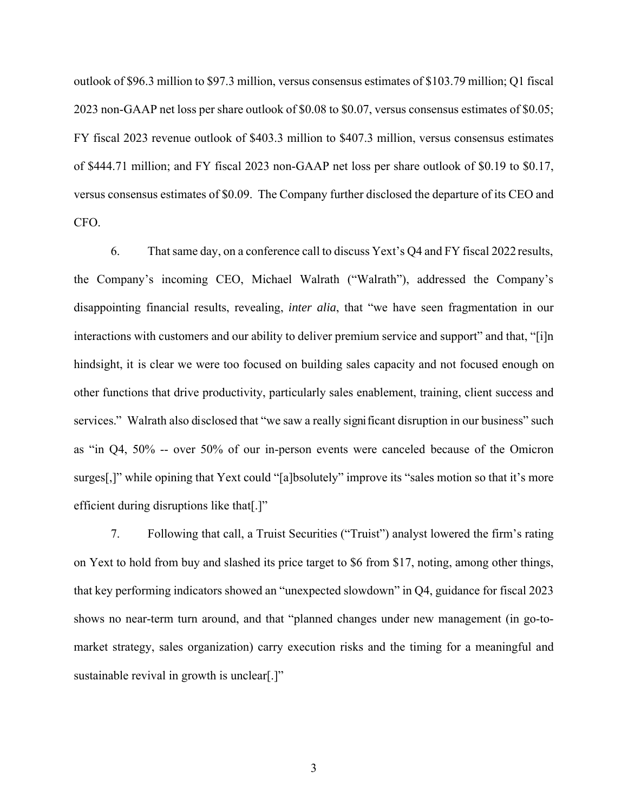outlook of \$96.3 million to \$97.3 million, versus consensus estimates of \$103.79 million; Q1 fiscal 2023 non-GAAP net loss per share outlook of \$0.08 to \$0.07, versus consensus estimates of \$0.05; FY fiscal 2023 revenue outlook of \$403.3 million to \$407.3 million, versus consensus estimates of \$444.71 million; and FY fiscal 2023 non-GAAP net loss per share outlook of \$0.19 to \$0.17, versus consensus estimates of \$0.09. The Company further disclosed the departure of its CEO and CFO.

6. Thatsame day, on a conference call to discuss Yext's Q4 and FY fiscal 2022 results, the Company's incoming CEO, Michael Walrath ("Walrath"), addressed the Company's disappointing financial results, revealing, *inter alia*, that "we have seen fragmentation in our interactions with customers and our ability to deliver premium service and support" and that, "[i]n hindsight, it is clear we were too focused on building sales capacity and not focused enough on other functions that drive productivity, particularly sales enablement, training, client success and services." Walrath also disclosed that "we saw a really significant disruption in our business" such as "in Q4, 50% -- over 50% of our in-person events were canceled because of the Omicron surges[,]" while opining that Yext could "[a]bsolutely" improve its "sales motion so that it's more efficient during disruptions like that[.]"

7. Following that call, a Truist Securities ("Truist") analyst lowered the firm's rating on Yext to hold from buy and slashed its price target to \$6 from \$17, noting, among other things, that key performing indicators showed an "unexpected slowdown" in Q4, guidance for fiscal 2023 shows no near-term turn around, and that "planned changes under new management (in go-tomarket strategy, sales organization) carry execution risks and the timing for a meaningful and sustainable revival in growth is unclear[.]"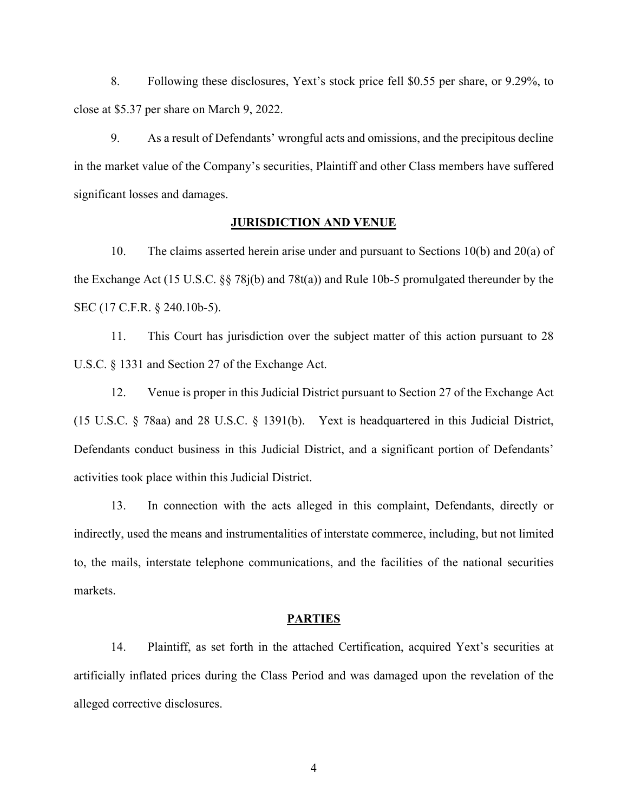8. Following these disclosures, Yext's stock price fell \$0.55 per share, or 9.29%, to close at \$5.37 per share on March 9, 2022.

9. As a result of Defendants' wrongful acts and omissions, and the precipitous decline in the market value of the Company's securities, Plaintiff and other Class members have suffered significant losses and damages.

## **JURISDICTION AND VENUE**

10. The claims asserted herein arise under and pursuant to Sections 10(b) and 20(a) of the Exchange Act (15 U.S.C. §§ 78j(b) and 78t(a)) and Rule 10b-5 promulgated thereunder by the SEC (17 C.F.R. § 240.10b-5).

11. This Court has jurisdiction over the subject matter of this action pursuant to 28 U.S.C. § 1331 and Section 27 of the Exchange Act.

12. Venue is proper in this Judicial District pursuant to Section 27 of the Exchange Act (15 U.S.C. § 78aa) and 28 U.S.C. § 1391(b). Yext is headquartered in this Judicial District, Defendants conduct business in this Judicial District, and a significant portion of Defendants' activities took place within this Judicial District.

13. In connection with the acts alleged in this complaint, Defendants, directly or indirectly, used the means and instrumentalities of interstate commerce, including, but not limited to, the mails, interstate telephone communications, and the facilities of the national securities markets.

### **PARTIES**

14. Plaintiff, as set forth in the attached Certification, acquired Yext's securities at artificially inflated prices during the Class Period and was damaged upon the revelation of the alleged corrective disclosures.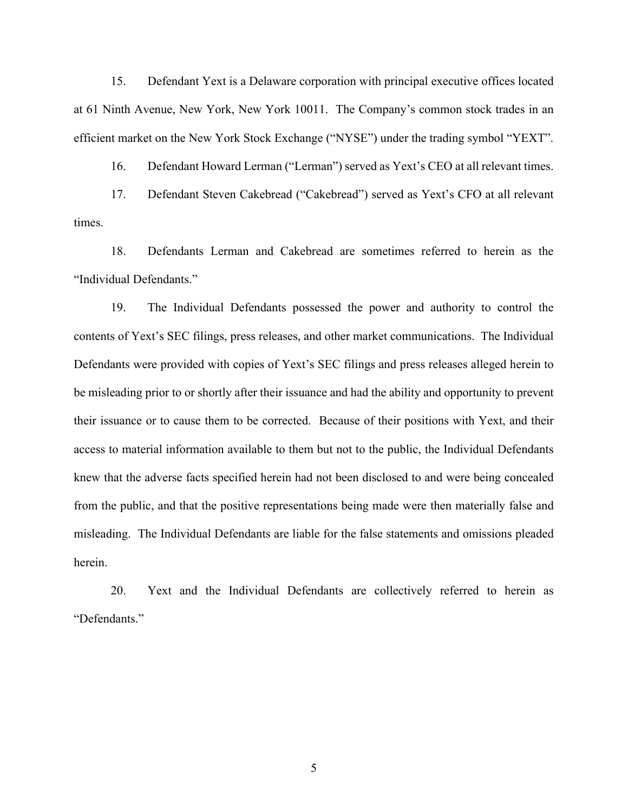15. Defendant Yext is a Delaware corporation with principal executive offices located at 61 Ninth Avenue, New York, New York 10011. The Company's common stock trades in an efficient market on the New York Stock Exchange ("NYSE") under the trading symbol "YEXT".

16. Defendant Howard Lerman ("Lerman") served as Yext's CEO at all relevant times.

17. Defendant Steven Cakebread ("Cakebread") served as Yext's CFO at all relevant times.

18. Defendants Lerman and Cakebread are sometimes referred to herein as the "Individual Defendants."

19. The Individual Defendants possessed the power and authority to control the contents of Yext's SEC filings, press releases, and other market communications. The Individual Defendants were provided with copies of Yext's SEC filings and press releases alleged herein to be misleading prior to or shortly after their issuance and had the ability and opportunity to prevent their issuance or to cause them to be corrected. Because of their positions with Yext, and their access to material information available to them but not to the public, the Individual Defendants knew that the adverse facts specified herein had not been disclosed to and were being concealed from the public, and that the positive representations being made were then materially false and misleading. The Individual Defendants are liable for the false statements and omissions pleaded herein.

20. Yext and the Individual Defendants are collectively referred to herein as "Defendants."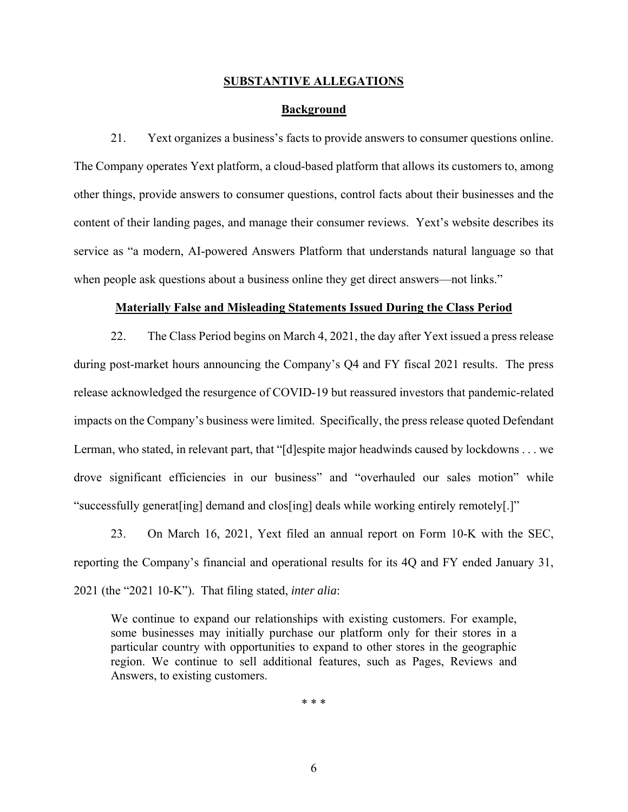### **SUBSTANTIVE ALLEGATIONS**

#### **Background**

21. Yext organizes a business's facts to provide answers to consumer questions online. The Company operates Yext platform, a cloud-based platform that allows its customers to, among other things, provide answers to consumer questions, control facts about their businesses and the content of their landing pages, and manage their consumer reviews. Yext's website describes its service as "a modern, AI-powered Answers Platform that understands natural language so that when people ask questions about a business online they get direct answers—not links."

#### **Materially False and Misleading Statements Issued During the Class Period**

22. The Class Period begins on March 4, 2021, the day after Yext issued a press release during post-market hours announcing the Company's Q4 and FY fiscal 2021 results. The press release acknowledged the resurgence of COVID-19 but reassured investors that pandemic-related impacts on the Company's business were limited. Specifically, the press release quoted Defendant Lerman, who stated, in relevant part, that "[d]espite major headwinds caused by lockdowns . . . we drove significant efficiencies in our business" and "overhauled our sales motion" while "successfully generat[ing] demand and clos[ing] deals while working entirely remotely[.]"

23. On March 16, 2021, Yext filed an annual report on Form 10-K with the SEC, reporting the Company's financial and operational results for its 4Q and FY ended January 31, 2021 (the "2021 10-K"). That filing stated, *inter alia*:

We continue to expand our relationships with existing customers. For example, some businesses may initially purchase our platform only for their stores in a particular country with opportunities to expand to other stores in the geographic region. We continue to sell additional features, such as Pages, Reviews and Answers, to existing customers.

\* \* \*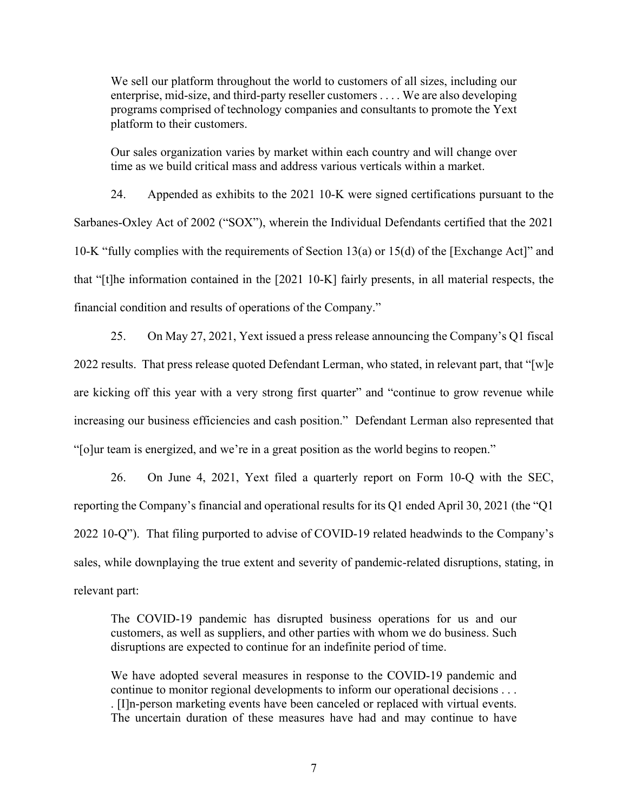We sell our platform throughout the world to customers of all sizes, including our enterprise, mid-size, and third-party reseller customers . . . . We are also developing programs comprised of technology companies and consultants to promote the Yext platform to their customers.

Our sales organization varies by market within each country and will change over time as we build critical mass and address various verticals within a market.

24. Appended as exhibits to the 2021 10-K were signed certifications pursuant to the Sarbanes-Oxley Act of 2002 ("SOX"), wherein the Individual Defendants certified that the 2021 10-K "fully complies with the requirements of Section 13(a) or 15(d) of the [Exchange Act]" and that "[t]he information contained in the [2021 10-K] fairly presents, in all material respects, the financial condition and results of operations of the Company."

25. On May 27, 2021, Yext issued a press release announcing the Company's Q1 fiscal 2022 results. That press release quoted Defendant Lerman, who stated, in relevant part, that "[w]e are kicking off this year with a very strong first quarter" and "continue to grow revenue while increasing our business efficiencies and cash position." Defendant Lerman also represented that "[o]ur team is energized, and we're in a great position as the world begins to reopen."

26. On June 4, 2021, Yext filed a quarterly report on Form 10-Q with the SEC, reporting the Company's financial and operational results for its Q1 ended April 30, 2021 (the "Q1 2022 10-Q"). That filing purported to advise of COVID-19 related headwinds to the Company's sales, while downplaying the true extent and severity of pandemic-related disruptions, stating, in relevant part:

The COVID-19 pandemic has disrupted business operations for us and our customers, as well as suppliers, and other parties with whom we do business. Such disruptions are expected to continue for an indefinite period of time.

We have adopted several measures in response to the COVID-19 pandemic and continue to monitor regional developments to inform our operational decisions . . . . [I]n-person marketing events have been canceled or replaced with virtual events. The uncertain duration of these measures have had and may continue to have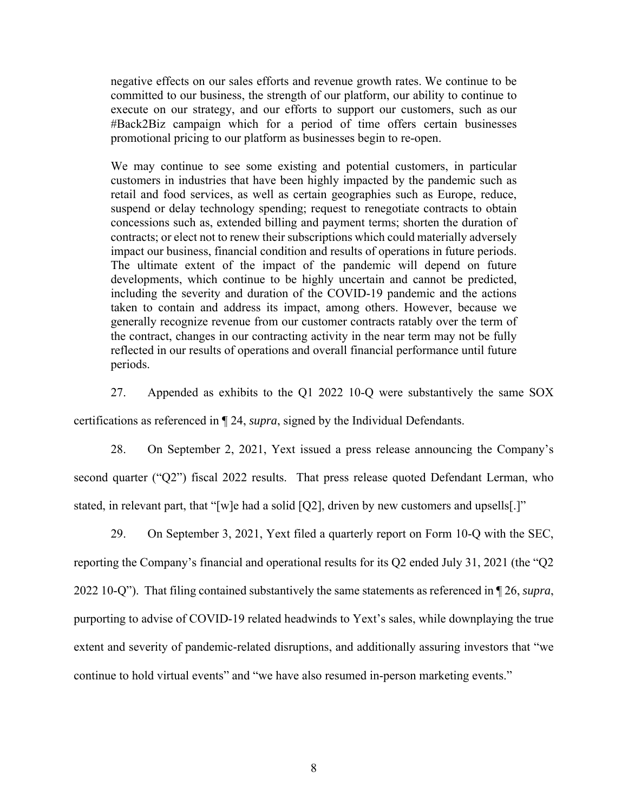negative effects on our sales efforts and revenue growth rates. We continue to be committed to our business, the strength of our platform, our ability to continue to execute on our strategy, and our efforts to support our customers, such as our #Back2Biz campaign which for a period of time offers certain businesses promotional pricing to our platform as businesses begin to re-open.

We may continue to see some existing and potential customers, in particular customers in industries that have been highly impacted by the pandemic such as retail and food services, as well as certain geographies such as Europe, reduce, suspend or delay technology spending; request to renegotiate contracts to obtain concessions such as, extended billing and payment terms; shorten the duration of contracts; or elect not to renew their subscriptions which could materially adversely impact our business, financial condition and results of operations in future periods. The ultimate extent of the impact of the pandemic will depend on future developments, which continue to be highly uncertain and cannot be predicted, including the severity and duration of the COVID-19 pandemic and the actions taken to contain and address its impact, among others. However, because we generally recognize revenue from our customer contracts ratably over the term of the contract, changes in our contracting activity in the near term may not be fully reflected in our results of operations and overall financial performance until future periods.

27. Appended as exhibits to the Q1 2022 10-Q were substantively the same SOX

certifications as referenced in ¶ 24, *supra*, signed by the Individual Defendants.

28. On September 2, 2021, Yext issued a press release announcing the Company's second quarter ("Q2") fiscal 2022 results. That press release quoted Defendant Lerman, who stated, in relevant part, that "[w]e had a solid [Q2], driven by new customers and upsells[.]"

29. On September 3, 2021, Yext filed a quarterly report on Form 10-Q with the SEC, reporting the Company's financial and operational results for its Q2 ended July 31, 2021 (the "Q2 2022 10-Q"). That filing contained substantively the same statements as referenced in ¶ 26, *supra*, purporting to advise of COVID-19 related headwinds to Yext's sales, while downplaying the true extent and severity of pandemic-related disruptions, and additionally assuring investors that "we continue to hold virtual events" and "we have also resumed in-person marketing events."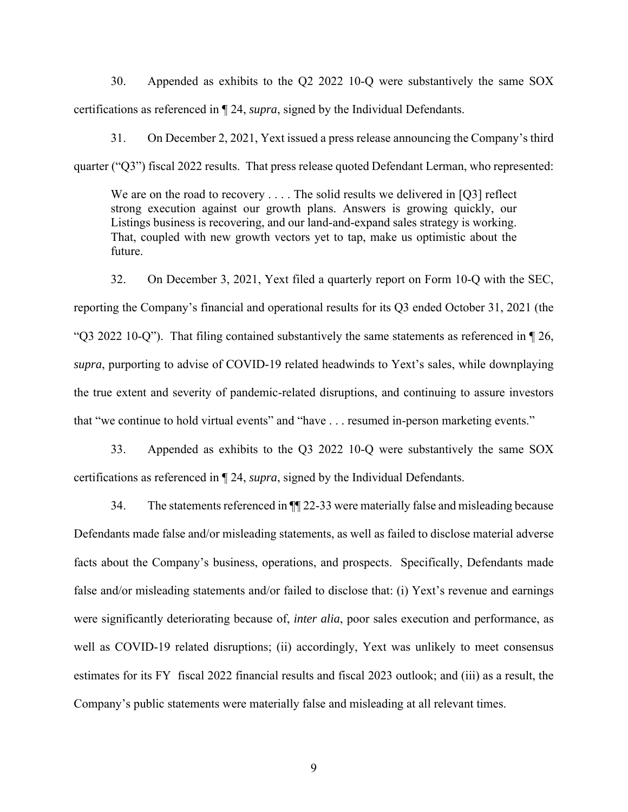30. Appended as exhibits to the Q2 2022 10-Q were substantively the same SOX certifications as referenced in ¶ 24, *supra*, signed by the Individual Defendants.

31. On December 2, 2021, Yext issued a press release announcing the Company's third quarter ("Q3") fiscal 2022 results. That press release quoted Defendant Lerman, who represented:

We are on the road to recovery  $\dots$ . The solid results we delivered in [Q3] reflect strong execution against our growth plans. Answers is growing quickly, our Listings business is recovering, and our land-and-expand sales strategy is working. That, coupled with new growth vectors yet to tap, make us optimistic about the future.

32. On December 3, 2021, Yext filed a quarterly report on Form 10-Q with the SEC, reporting the Company's financial and operational results for its Q3 ended October 31, 2021 (the "Q3 2022 10-Q"). That filing contained substantively the same statements as referenced in  $\P$  26, *supra*, purporting to advise of COVID-19 related headwinds to Yext's sales, while downplaying the true extent and severity of pandemic-related disruptions, and continuing to assure investors that "we continue to hold virtual events" and "have . . . resumed in-person marketing events."

33. Appended as exhibits to the Q3 2022 10-Q were substantively the same SOX certifications as referenced in ¶ 24, *supra*, signed by the Individual Defendants.

34. The statements referenced in ¶¶ 22-33 were materially false and misleading because Defendants made false and/or misleading statements, as well as failed to disclose material adverse facts about the Company's business, operations, and prospects. Specifically, Defendants made false and/or misleading statements and/or failed to disclose that: (i) Yext's revenue and earnings were significantly deteriorating because of, *inter alia*, poor sales execution and performance, as well as COVID-19 related disruptions; (ii) accordingly, Yext was unlikely to meet consensus estimates for its FY fiscal 2022 financial results and fiscal 2023 outlook; and (iii) as a result, the Company's public statements were materially false and misleading at all relevant times.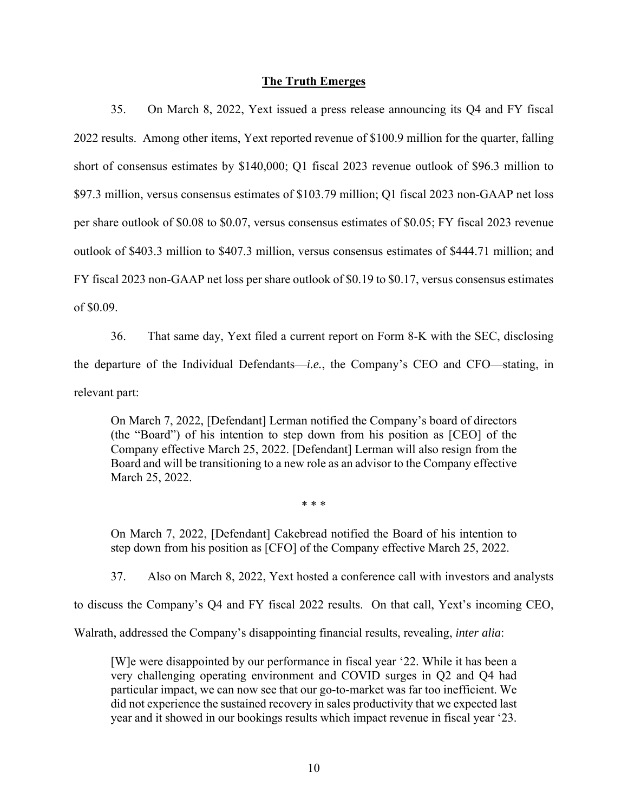## **The Truth Emerges**

35. On March 8, 2022, Yext issued a press release announcing its Q4 and FY fiscal 2022 results. Among other items, Yext reported revenue of \$100.9 million for the quarter, falling short of consensus estimates by \$140,000; Q1 fiscal 2023 revenue outlook of \$96.3 million to \$97.3 million, versus consensus estimates of \$103.79 million; Q1 fiscal 2023 non-GAAP net loss per share outlook of \$0.08 to \$0.07, versus consensus estimates of \$0.05; FY fiscal 2023 revenue outlook of \$403.3 million to \$407.3 million, versus consensus estimates of \$444.71 million; and FY fiscal 2023 non-GAAP net loss per share outlook of \$0.19 to \$0.17, versus consensus estimates of \$0.09.

36. That same day, Yext filed a current report on Form 8-K with the SEC, disclosing the departure of the Individual Defendants—*i.e.*, the Company's CEO and CFO—stating, in relevant part:

On March 7, 2022, [Defendant] Lerman notified the Company's board of directors (the "Board") of his intention to step down from his position as [CEO] of the Company effective March 25, 2022. [Defendant] Lerman will also resign from the Board and will be transitioning to a new role as an advisor to the Company effective March 25, 2022.

\* \* \*

On March 7, 2022, [Defendant] Cakebread notified the Board of his intention to step down from his position as [CFO] of the Company effective March 25, 2022.

37. Also on March 8, 2022, Yext hosted a conference call with investors and analysts

to discuss the Company's Q4 and FY fiscal 2022 results. On that call, Yext's incoming CEO,

Walrath, addressed the Company's disappointing financial results, revealing, *inter alia*:

[W]e were disappointed by our performance in fiscal year '22. While it has been a very challenging operating environment and COVID surges in Q2 and Q4 had particular impact, we can now see that our go-to-market was far too inefficient. We did not experience the sustained recovery in sales productivity that we expected last year and it showed in our bookings results which impact revenue in fiscal year '23.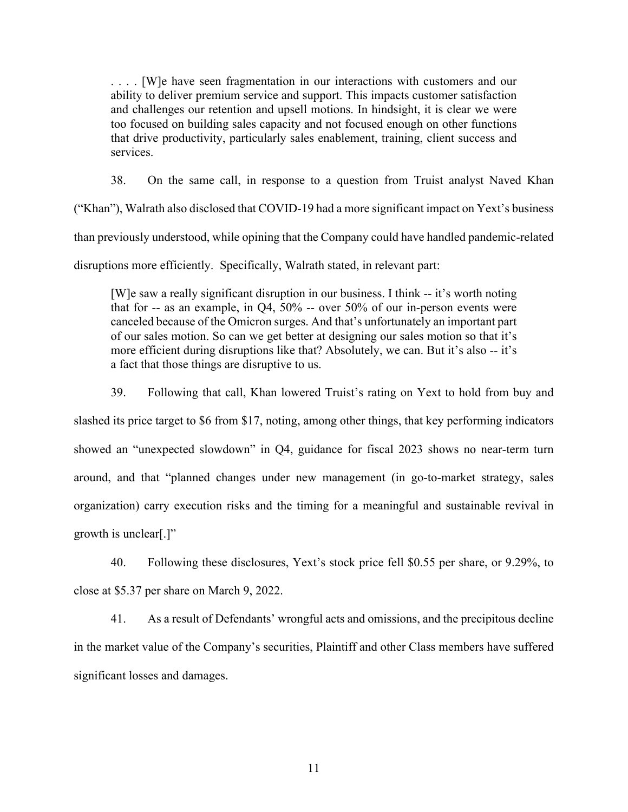. . . . [W]e have seen fragmentation in our interactions with customers and our ability to deliver premium service and support. This impacts customer satisfaction and challenges our retention and upsell motions. In hindsight, it is clear we were too focused on building sales capacity and not focused enough on other functions that drive productivity, particularly sales enablement, training, client success and services.

38. On the same call, in response to a question from Truist analyst Naved Khan

("Khan"), Walrath also disclosed that COVID-19 had a more significant impact on Yext's business than previously understood, while opining that the Company could have handled pandemic-related disruptions more efficiently. Specifically, Walrath stated, in relevant part:

[W]e saw a really significant disruption in our business. I think -- it's worth noting that for  $-$  as an example, in Q4,  $50\%$   $-$  over  $50\%$  of our in-person events were canceled because of the Omicron surges. And that's unfortunately an important part of our sales motion. So can we get better at designing our sales motion so that it's more efficient during disruptions like that? Absolutely, we can. But it's also -- it's a fact that those things are disruptive to us.

39. Following that call, Khan lowered Truist's rating on Yext to hold from buy and

slashed its price target to \$6 from \$17, noting, among other things, that key performing indicators showed an "unexpected slowdown" in Q4, guidance for fiscal 2023 shows no near-term turn around, and that "planned changes under new management (in go-to-market strategy, sales organization) carry execution risks and the timing for a meaningful and sustainable revival in growth is unclear[.]"

40. Following these disclosures, Yext's stock price fell \$0.55 per share, or 9.29%, to close at \$5.37 per share on March 9, 2022.

41. As a result of Defendants' wrongful acts and omissions, and the precipitous decline in the market value of the Company's securities, Plaintiff and other Class members have suffered significant losses and damages.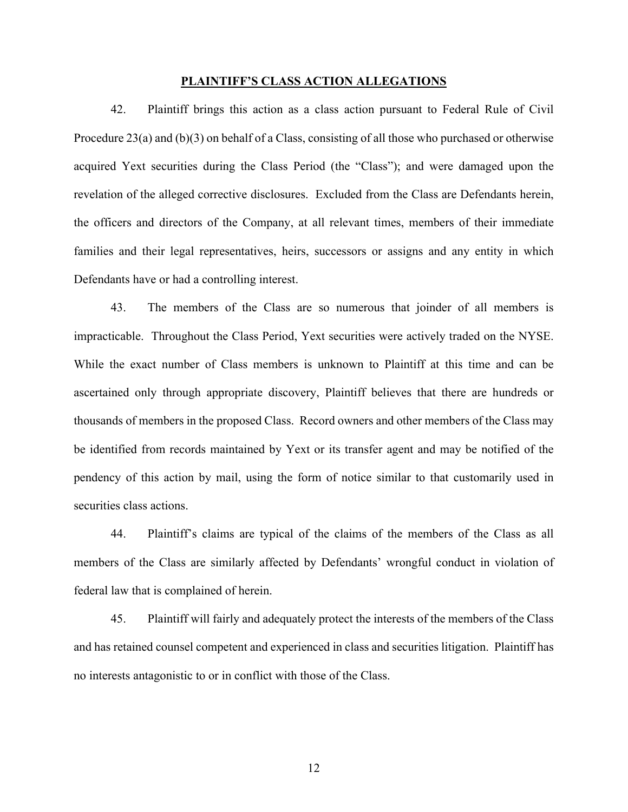#### **PLAINTIFF'S CLASS ACTION ALLEGATIONS**

42. Plaintiff brings this action as a class action pursuant to Federal Rule of Civil Procedure 23(a) and (b)(3) on behalf of a Class, consisting of all those who purchased or otherwise acquired Yext securities during the Class Period (the "Class"); and were damaged upon the revelation of the alleged corrective disclosures. Excluded from the Class are Defendants herein, the officers and directors of the Company, at all relevant times, members of their immediate families and their legal representatives, heirs, successors or assigns and any entity in which Defendants have or had a controlling interest.

43. The members of the Class are so numerous that joinder of all members is impracticable. Throughout the Class Period, Yext securities were actively traded on the NYSE. While the exact number of Class members is unknown to Plaintiff at this time and can be ascertained only through appropriate discovery, Plaintiff believes that there are hundreds or thousands of members in the proposed Class. Record owners and other members of the Class may be identified from records maintained by Yext or its transfer agent and may be notified of the pendency of this action by mail, using the form of notice similar to that customarily used in securities class actions.

44. Plaintiff's claims are typical of the claims of the members of the Class as all members of the Class are similarly affected by Defendants' wrongful conduct in violation of federal law that is complained of herein.

45. Plaintiff will fairly and adequately protect the interests of the members of the Class and has retained counsel competent and experienced in class and securities litigation. Plaintiff has no interests antagonistic to or in conflict with those of the Class.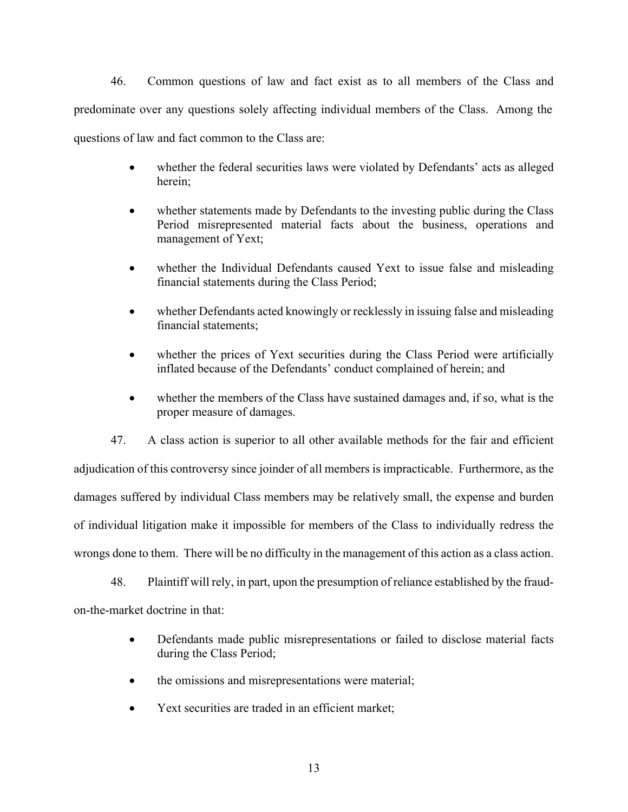46. Common questions of law and fact exist as to all members of the Class and predominate over any questions solely affecting individual members of the Class. Among the questions of law and fact common to the Class are:

- whether the federal securities laws were violated by Defendants' acts as alleged herein;
- whether statements made by Defendants to the investing public during the Class Period misrepresented material facts about the business, operations and management of Yext;
- whether the Individual Defendants caused Yext to issue false and misleading financial statements during the Class Period;
- whether Defendants acted knowingly or recklessly in issuing false and misleading financial statements;
- whether the prices of Yext securities during the Class Period were artificially inflated because of the Defendants' conduct complained of herein; and
- whether the members of the Class have sustained damages and, if so, what is the proper measure of damages.

47. A class action is superior to all other available methods for the fair and efficient adjudication of this controversy since joinder of all members is impracticable. Furthermore, as the damages suffered by individual Class members may be relatively small, the expense and burden of individual litigation make it impossible for members of the Class to individually redress the wrongs done to them. There will be no difficulty in the management of this action as a class action.

48. Plaintiff will rely, in part, upon the presumption of reliance established by the fraudon-the-market doctrine in that:

- Defendants made public misrepresentations or failed to disclose material facts during the Class Period;
- the omissions and misrepresentations were material;
- Yext securities are traded in an efficient market;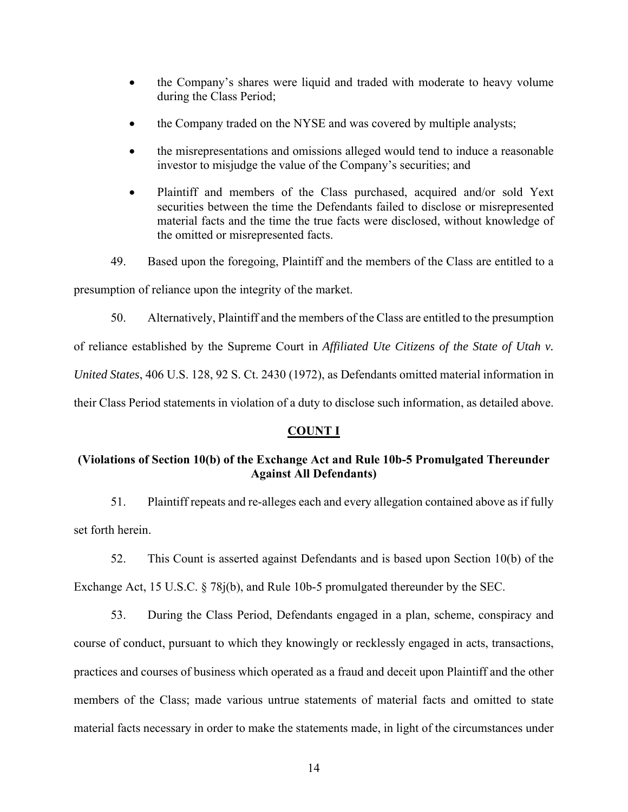- the Company's shares were liquid and traded with moderate to heavy volume during the Class Period;
- the Company traded on the NYSE and was covered by multiple analysts;
- the misrepresentations and omissions alleged would tend to induce a reasonable investor to misjudge the value of the Company's securities; and
- Plaintiff and members of the Class purchased, acquired and/or sold Yext securities between the time the Defendants failed to disclose or misrepresented material facts and the time the true facts were disclosed, without knowledge of the omitted or misrepresented facts.
- 49. Based upon the foregoing, Plaintiff and the members of the Class are entitled to a

presumption of reliance upon the integrity of the market.

50. Alternatively, Plaintiff and the members of the Class are entitled to the presumption

of reliance established by the Supreme Court in *Affiliated Ute Citizens of the State of Utah v.* 

*United States*, 406 U.S. 128, 92 S. Ct. 2430 (1972), as Defendants omitted material information in

their Class Period statements in violation of a duty to disclose such information, as detailed above.

## **COUNT I**

# **(Violations of Section 10(b) of the Exchange Act and Rule 10b-5 Promulgated Thereunder Against All Defendants)**

51. Plaintiff repeats and re-alleges each and every allegation contained above as if fully set forth herein.

52. This Count is asserted against Defendants and is based upon Section 10(b) of the Exchange Act, 15 U.S.C. § 78j(b), and Rule 10b-5 promulgated thereunder by the SEC.

53. During the Class Period, Defendants engaged in a plan, scheme, conspiracy and course of conduct, pursuant to which they knowingly or recklessly engaged in acts, transactions, practices and courses of business which operated as a fraud and deceit upon Plaintiff and the other members of the Class; made various untrue statements of material facts and omitted to state material facts necessary in order to make the statements made, in light of the circumstances under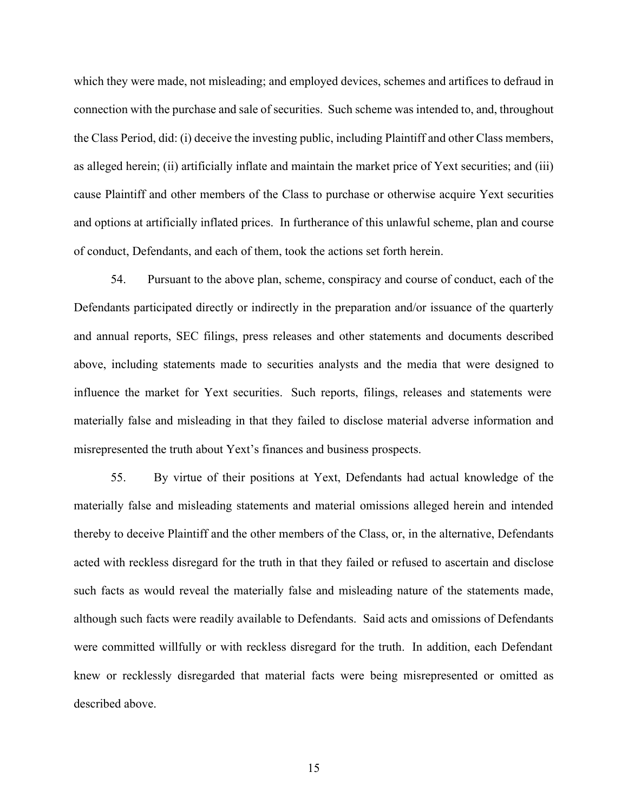which they were made, not misleading; and employed devices, schemes and artifices to defraud in connection with the purchase and sale of securities. Such scheme was intended to, and, throughout the Class Period, did: (i) deceive the investing public, including Plaintiff and other Class members, as alleged herein; (ii) artificially inflate and maintain the market price of Yext securities; and (iii) cause Plaintiff and other members of the Class to purchase or otherwise acquire Yext securities and options at artificially inflated prices. In furtherance of this unlawful scheme, plan and course of conduct, Defendants, and each of them, took the actions set forth herein.

54. Pursuant to the above plan, scheme, conspiracy and course of conduct, each of the Defendants participated directly or indirectly in the preparation and/or issuance of the quarterly and annual reports, SEC filings, press releases and other statements and documents described above, including statements made to securities analysts and the media that were designed to influence the market for Yext securities. Such reports, filings, releases and statements were materially false and misleading in that they failed to disclose material adverse information and misrepresented the truth about Yext's finances and business prospects.

55. By virtue of their positions at Yext, Defendants had actual knowledge of the materially false and misleading statements and material omissions alleged herein and intended thereby to deceive Plaintiff and the other members of the Class, or, in the alternative, Defendants acted with reckless disregard for the truth in that they failed or refused to ascertain and disclose such facts as would reveal the materially false and misleading nature of the statements made, although such facts were readily available to Defendants. Said acts and omissions of Defendants were committed willfully or with reckless disregard for the truth. In addition, each Defendant knew or recklessly disregarded that material facts were being misrepresented or omitted as described above.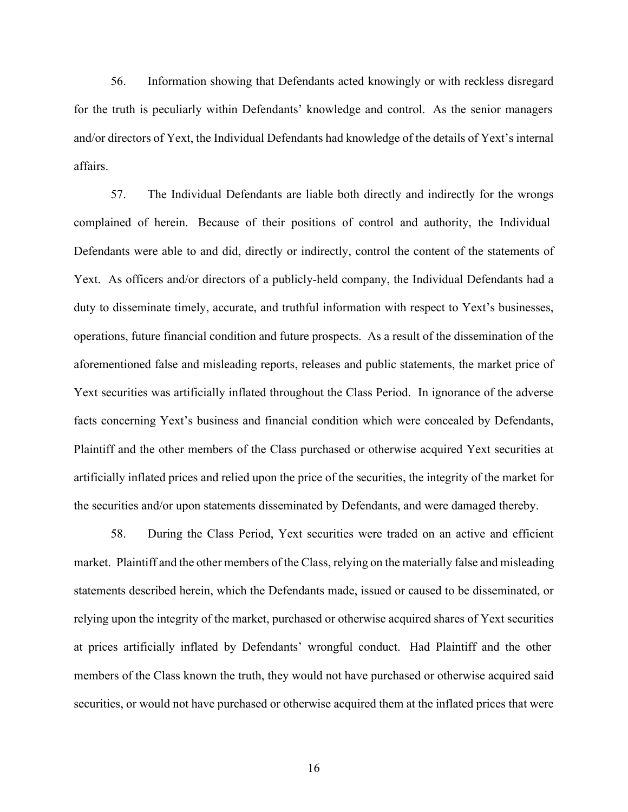56. Information showing that Defendants acted knowingly or with reckless disregard for the truth is peculiarly within Defendants' knowledge and control. As the senior managers and/or directors of Yext, the Individual Defendants had knowledge of the details of Yext's internal affairs.

57. The Individual Defendants are liable both directly and indirectly for the wrongs complained of herein. Because of their positions of control and authority, the Individual Defendants were able to and did, directly or indirectly, control the content of the statements of Yext. As officers and/or directors of a publicly-held company, the Individual Defendants had a duty to disseminate timely, accurate, and truthful information with respect to Yext's businesses, operations, future financial condition and future prospects. As a result of the dissemination of the aforementioned false and misleading reports, releases and public statements, the market price of Yext securities was artificially inflated throughout the Class Period. In ignorance of the adverse facts concerning Yext's business and financial condition which were concealed by Defendants, Plaintiff and the other members of the Class purchased or otherwise acquired Yext securities at artificially inflated prices and relied upon the price of the securities, the integrity of the market for the securities and/or upon statements disseminated by Defendants, and were damaged thereby.

58. During the Class Period, Yext securities were traded on an active and efficient market. Plaintiff and the other members of the Class, relying on the materially false and misleading statements described herein, which the Defendants made, issued or caused to be disseminated, or relying upon the integrity of the market, purchased or otherwise acquired shares of Yext securities at prices artificially inflated by Defendants' wrongful conduct. Had Plaintiff and the other members of the Class known the truth, they would not have purchased or otherwise acquired said securities, or would not have purchased or otherwise acquired them at the inflated prices that were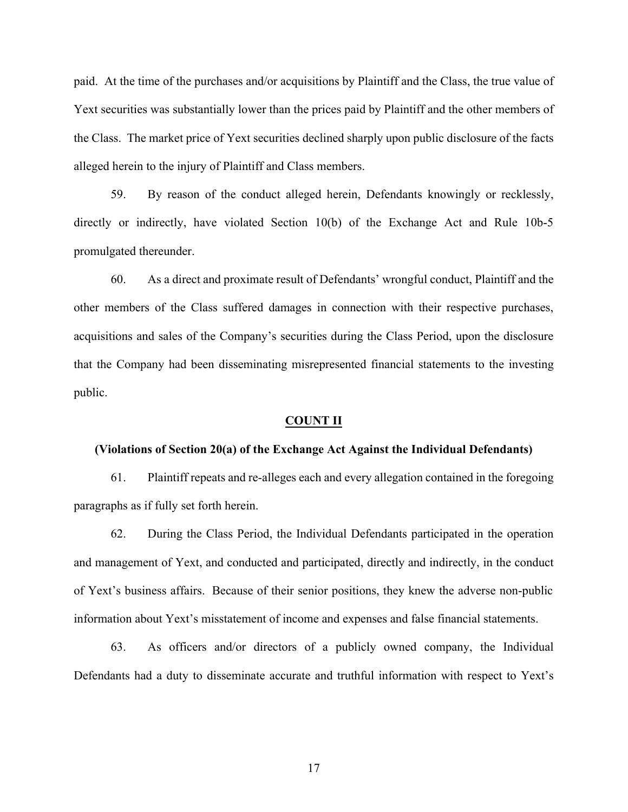paid. At the time of the purchases and/or acquisitions by Plaintiff and the Class, the true value of Yext securities was substantially lower than the prices paid by Plaintiff and the other members of the Class. The market price of Yext securities declined sharply upon public disclosure of the facts alleged herein to the injury of Plaintiff and Class members.

59. By reason of the conduct alleged herein, Defendants knowingly or recklessly, directly or indirectly, have violated Section 10(b) of the Exchange Act and Rule 10b-5 promulgated thereunder.

60. As a direct and proximate result of Defendants' wrongful conduct, Plaintiff and the other members of the Class suffered damages in connection with their respective purchases, acquisitions and sales of the Company's securities during the Class Period, upon the disclosure that the Company had been disseminating misrepresented financial statements to the investing public.

#### **COUNT II**

#### **(Violations of Section 20(a) of the Exchange Act Against the Individual Defendants)**

61. Plaintiff repeats and re-alleges each and every allegation contained in the foregoing paragraphs as if fully set forth herein.

62. During the Class Period, the Individual Defendants participated in the operation and management of Yext, and conducted and participated, directly and indirectly, in the conduct of Yext's business affairs. Because of their senior positions, they knew the adverse non-public information about Yext's misstatement of income and expenses and false financial statements.

63. As officers and/or directors of a publicly owned company, the Individual Defendants had a duty to disseminate accurate and truthful information with respect to Yext's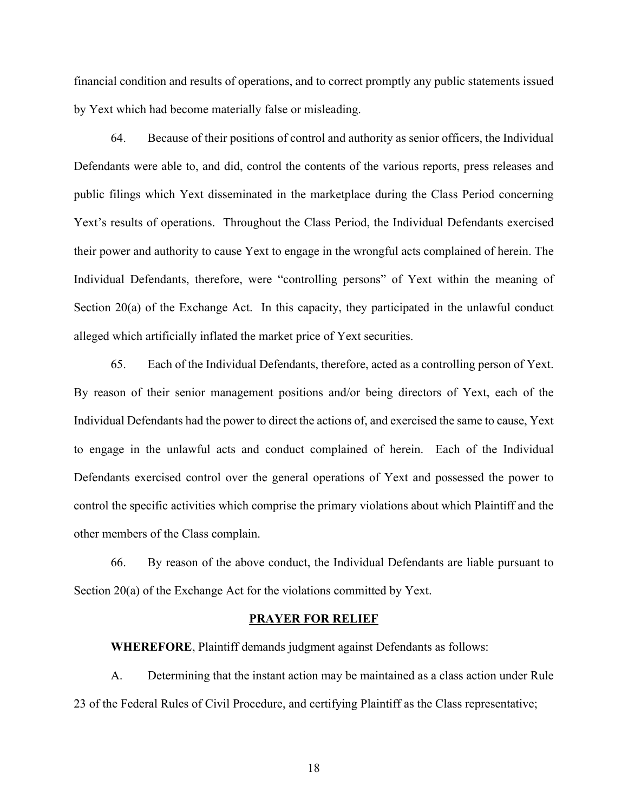financial condition and results of operations, and to correct promptly any public statements issued by Yext which had become materially false or misleading.

64. Because of their positions of control and authority as senior officers, the Individual Defendants were able to, and did, control the contents of the various reports, press releases and public filings which Yext disseminated in the marketplace during the Class Period concerning Yext's results of operations. Throughout the Class Period, the Individual Defendants exercised their power and authority to cause Yext to engage in the wrongful acts complained of herein. The Individual Defendants, therefore, were "controlling persons" of Yext within the meaning of Section 20(a) of the Exchange Act. In this capacity, they participated in the unlawful conduct alleged which artificially inflated the market price of Yext securities.

65. Each of the Individual Defendants, therefore, acted as a controlling person of Yext. By reason of their senior management positions and/or being directors of Yext, each of the Individual Defendants had the power to direct the actions of, and exercised the same to cause, Yext to engage in the unlawful acts and conduct complained of herein. Each of the Individual Defendants exercised control over the general operations of Yext and possessed the power to control the specific activities which comprise the primary violations about which Plaintiff and the other members of the Class complain.

66. By reason of the above conduct, the Individual Defendants are liable pursuant to Section 20(a) of the Exchange Act for the violations committed by Yext.

#### **PRAYER FOR RELIEF**

**WHEREFORE**, Plaintiff demands judgment against Defendants as follows:

A. Determining that the instant action may be maintained as a class action under Rule 23 of the Federal Rules of Civil Procedure, and certifying Plaintiff as the Class representative;